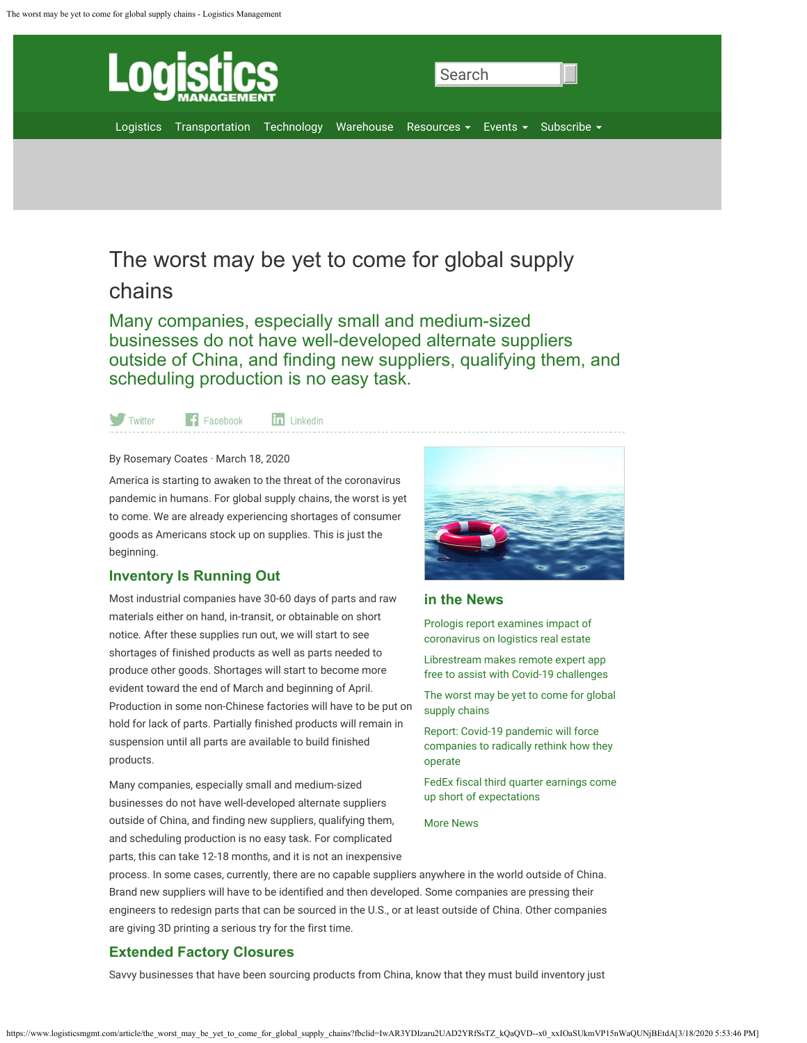<span id="page-0-0"></span>

# The worst may be yet to come for global supply

## chains

Many companies, especially small and medium-sized businesses do not have well-developed alternate suppliers outside of China, and finding new suppliers, qualifying them, and scheduling production is no easy task.

Twitter  $\left| \cdot \right|$  Facebook

in Linkedin

#### By Rosemary Coates · March 18, 2020

America is starting to awaken to the threat of the coronavirus pandemic in humans. For global supply chains, the worst is yet to come. We are already experiencing shortages of consumer goods as Americans stock up on supplies. This is just the beginning.

## **Inventory Is Running Out**

Most industrial companies have 30-60 days of parts and raw materials either on hand, in-transit, or obtainable on short notice. After these supplies run out, we will start to see shortages of finished products as well as parts needed to produce other goods. Shortages will start to become more evident toward the end of March and beginning of April. Production in some non-Chinese factories will have to be put on hold for lack of parts. Partially finished products will remain in suspension until all parts are available to build finished products.

Many companies, especially small and medium-sized businesses do not have well-developed alternate suppliers outside of China, and finding new suppliers, qualifying them, and scheduling production is no easy task. For complicated parts, this can take 12-18 months, and it is not an inexpensive



## **in the News**

Prologis report examines impact of coronavirus on logistics real estate

Librestream makes remote expert app free to assist with Covid-19 challenges

The worst may be yet to come for global supply chains

Report: Covid-19 pandemic will force companies to radically rethink how they operate

FedEx fiscal third quarter earnings come up short of expectations

More News

process. In some cases, currently, there are no capable suppliers anywhere in the world outside of China. Brand new suppliers will have to be identified and then developed. Some companies are pressing their engineers to redesign parts that can be sourced in the U.S., or at least outside of China. Other companies are giving 3D printing a serious try for the first time.

## **Extended Factory Closures**

Savvy businesses that have been sourcing products from China, know that they must build inventory just